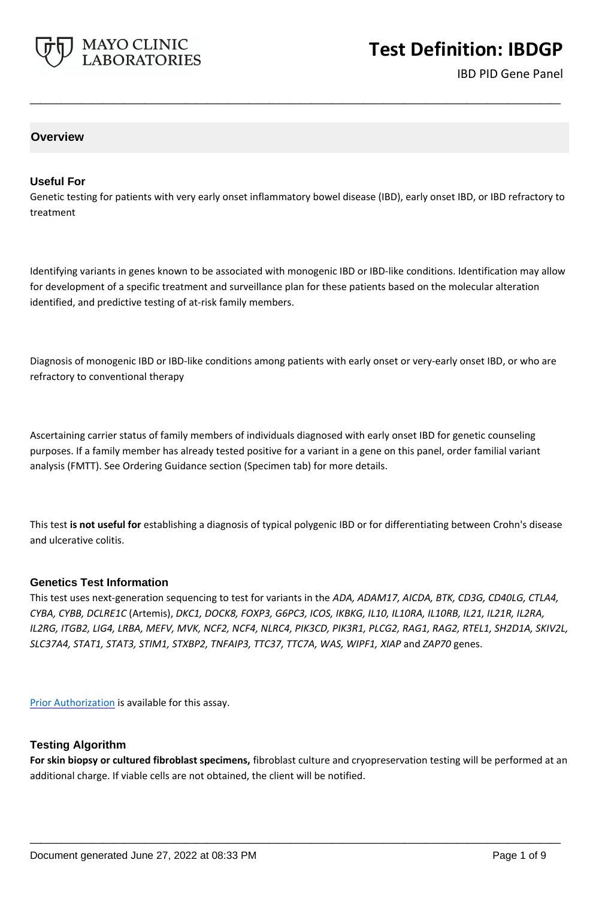

# **Test Definition: IBDGP**

IBD PID Gene Panel

## **Overview**

#### **Useful For**

Genetic testing for patients with very early onset inflammatory bowel disease (IBD), early onset IBD, or IBD refractory to treatment

**\_\_\_\_\_\_\_\_\_\_\_\_\_\_\_\_\_\_\_\_\_\_\_\_\_\_\_\_\_\_\_\_\_\_\_\_\_\_\_\_\_\_\_\_\_\_\_\_\_\_\_**

Identifying variants in genes known to be associated with monogenic IBD or IBD-like conditions. Identification may allow for development of a specific treatment and surveillance plan for these patients based on the molecular alteration identified, and predictive testing of at-risk family members.

Diagnosis of monogenic IBD or IBD-like conditions among patients with early onset or very-early onset IBD, or who are refractory to conventional therapy

Ascertaining carrier status of family members of individuals diagnosed with early onset IBD for genetic counseling purposes. If a family member has already tested positive for a variant in a gene on this panel, order familial variant analysis (FMTT). See Ordering Guidance section (Specimen tab) for more details.

This test **is not useful for** establishing a diagnosis of typical polygenic IBD or for differentiating between Crohn's disease and ulcerative colitis.

#### **Genetics Test Information**

This test uses next-generation sequencing to test for variants in the *ADA, ADAM17, AICDA, BTK, CD3G, CD40LG, CTLA4, CYBA, CYBB, DCLRE1C* (Artemis), *DKC1, DOCK8, FOXP3, G6PC3, ICOS, IKBKG, IL10, IL10RA, IL10RB, IL21, IL21R, IL2RA, IL2RG, ITGB2, LIG4, LRBA, MEFV, MVK, NCF2, NCF4, NLRC4, PIK3CD, PIK3R1, PLCG2, RAG1, RAG2, RTEL1, SH2D1A, SKIV2L, SLC37A4, STAT1, STAT3, STIM1, STXBP2, TNFAIP3, TTC37, TTC7A, WAS, WIPF1, XIAP* and *ZAP70* genes.

[Prior Authorization](https://www.mayocliniclabs.com/it-mmfiles/IBDGP.pdf) is available for this assay.

#### **Testing Algorithm**

**For skin biopsy or cultured fibroblast specimens,** fibroblast culture and cryopreservation testing will be performed at an additional charge. If viable cells are not obtained, the client will be notified.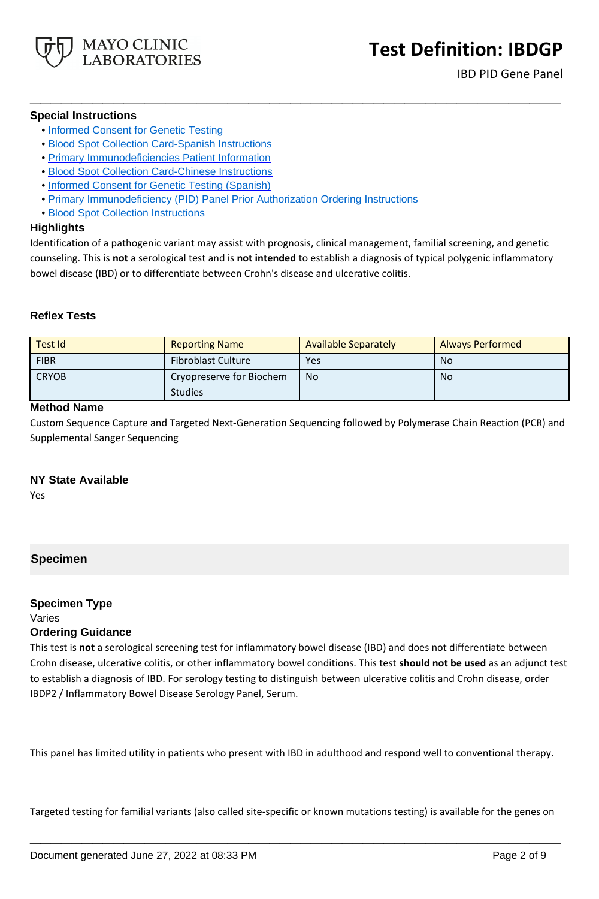

#### **Special Instructions**

- • [Informed Consent for Genetic Testing](http://www.mayocliniclabs.com/it-mmfiles/Informed_Consent_for_Genetic_Testing.pdf)
- • [Blood Spot Collection Card-Spanish Instructions](https://www.mayocliniclabs.com/it-mmfiles/Blood_Spot_Collection_Card-Spanish_Instructions.pdf)
- • [Primary Immunodeficiencies Patient Information](https://www.mayocliniclabs.com/it-mmfiles/Primary_Immunodeficiencies_Patient_Information.pdf)
- • [Blood Spot Collection Card-Chinese Instructions](https://www.mayocliniclabs.com/it-mmfiles/Blood_Spot_Collection_Card-Chinese_Instructions.pdf)
- • [Informed Consent for Genetic Testing \(Spanish\)](https://www.mayocliniclabs.com/it-mmfiles/Informed_Consent_for_Genetic_Testing__Spanish_.pdf)
- • [Primary Immunodeficiency \(PID\) Panel Prior Authorization Ordering Instructions](https://www.mayocliniclabs.com/it-mmfiles/IBDGP.pdf)
- • [Blood Spot Collection Instructions](https://www.mayocliniclabs.com/it-mmfiles/Blood_Spot_Collection_Instructions.pdf)

#### **Highlights**

Identification of a pathogenic variant may assist with prognosis, clinical management, familial screening, and genetic counseling. This is **not** a serological test and is **not intended** to establish a diagnosis of typical polygenic inflammatory bowel disease (IBD) or to differentiate between Crohn's disease and ulcerative colitis.

**\_\_\_\_\_\_\_\_\_\_\_\_\_\_\_\_\_\_\_\_\_\_\_\_\_\_\_\_\_\_\_\_\_\_\_\_\_\_\_\_\_\_\_\_\_\_\_\_\_\_\_**

## **Reflex Tests**

| Test Id      | <b>Reporting Name</b>                      | <b>Available Separately</b> | <b>Always Performed</b> |
|--------------|--------------------------------------------|-----------------------------|-------------------------|
| <b>FIBR</b>  | <b>Fibroblast Culture</b>                  | Yes                         | No                      |
| <b>CRYOB</b> | Cryopreserve for Biochem<br><b>Studies</b> | <b>No</b>                   | No.                     |

## **Method Name**

Custom Sequence Capture and Targeted Next-Generation Sequencing followed by Polymerase Chain Reaction (PCR) and Supplemental Sanger Sequencing

## **NY State Available**

Yes

## **Specimen**

# **Specimen Type**

# Varies

## **Ordering Guidance**

This test is **not** a serological screening test for inflammatory bowel disease (IBD) and does not differentiate between Crohn disease, ulcerative colitis, or other inflammatory bowel conditions. This test **should not be used** as an adjunct test to establish a diagnosis of IBD. For serology testing to distinguish between ulcerative colitis and Crohn disease, order IBDP2 / Inflammatory Bowel Disease Serology Panel, Serum.

This panel has limited utility in patients who present with IBD in adulthood and respond well to conventional therapy.

Targeted testing for familial variants (also called site-specific or known mutations testing) is available for the genes on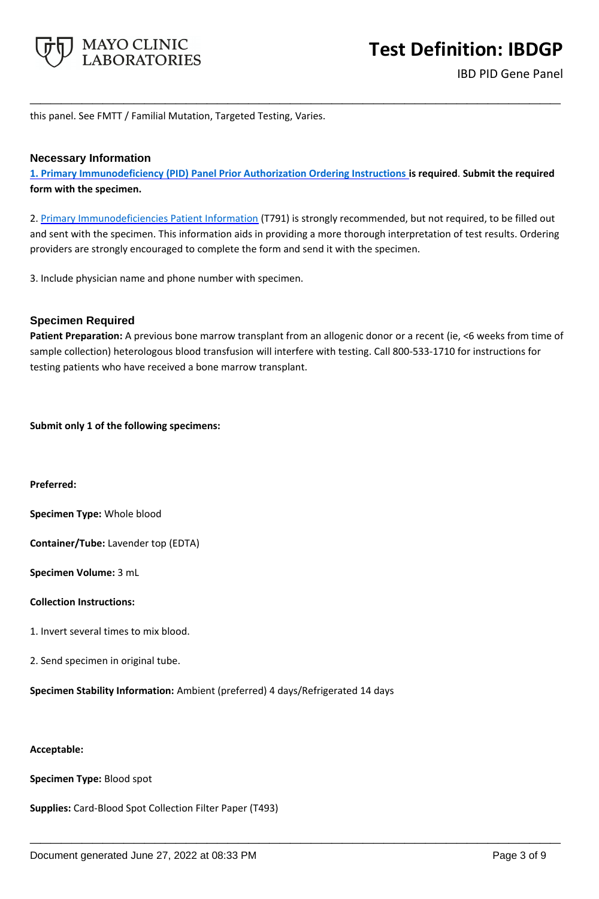

this panel. See FMTT / Familial Mutation, Targeted Testing, Varies.

#### **Necessary Information**

**[1. Primary Immunodeficiency \(PID\) Panel Prior Authorization Ordering Instructions i](https://www.mayocliniclabs.com/it-mmfiles/IBDGP.pdf)s required**. **Submit the required form with the specimen.**

**\_\_\_\_\_\_\_\_\_\_\_\_\_\_\_\_\_\_\_\_\_\_\_\_\_\_\_\_\_\_\_\_\_\_\_\_\_\_\_\_\_\_\_\_\_\_\_\_\_\_\_**

2. [Primary Immunodeficiencies Patient Information](https://www.mayocliniclabs.com/it-mmfiles/Primary_Immunodeficiencies_Patient_Information.pdf) (T791) is strongly recommended, but not required, to be filled out and sent with the specimen. This information aids in providing a more thorough interpretation of test results. Ordering providers are strongly encouraged to complete the form and send it with the specimen.

3. Include physician name and phone number with specimen.

#### **Specimen Required**

**Patient Preparation:** A previous bone marrow transplant from an allogenic donor or a recent (ie, <6 weeks from time of sample collection) heterologous blood transfusion will interfere with testing. Call 800-533-1710 for instructions for testing patients who have received a bone marrow transplant.

**\_\_\_\_\_\_\_\_\_\_\_\_\_\_\_\_\_\_\_\_\_\_\_\_\_\_\_\_\_\_\_\_\_\_\_\_\_\_\_\_\_\_\_\_\_\_\_\_\_\_\_**

**Submit only 1 of the following specimens:**

**Preferred:**

**Specimen Type:** Whole blood

**Container/Tube:** Lavender top (EDTA)

**Specimen Volume:** 3 mL

#### **Collection Instructions:**

- 1. Invert several times to mix blood.
- 2. Send specimen in original tube.

**Specimen Stability Information:** Ambient (preferred) 4 days/Refrigerated 14 days

#### **Acceptable:**

**Specimen Type:** Blood spot

**Supplies:** Card-Blood Spot Collection Filter Paper (T493)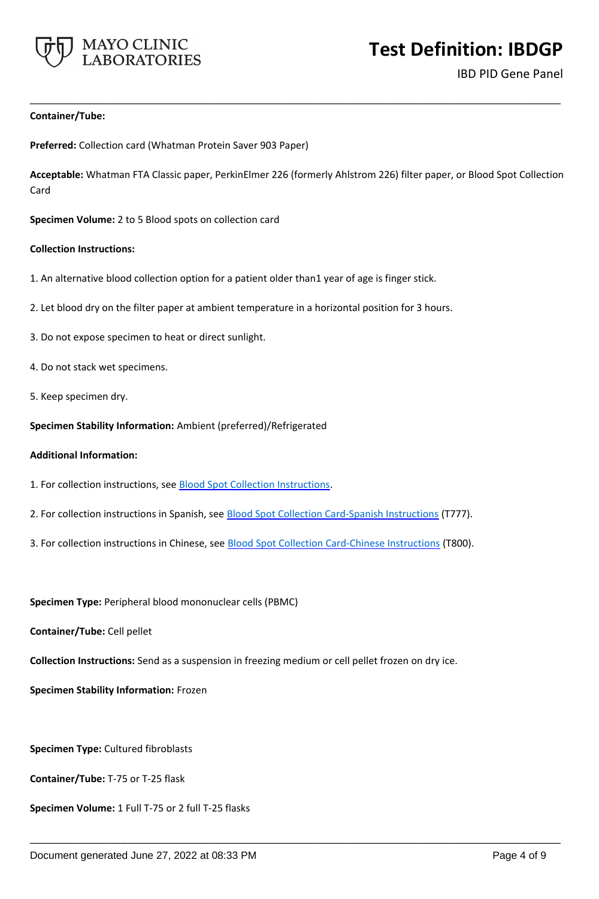

**Test Definition: IBDGP**

IBD PID Gene Panel

#### **Container/Tube:**

**Preferred:** Collection card (Whatman Protein Saver 903 Paper)

**Acceptable:** Whatman FTA Classic paper, PerkinElmer 226 (formerly Ahlstrom 226) filter paper, or Blood Spot Collection Card

**\_\_\_\_\_\_\_\_\_\_\_\_\_\_\_\_\_\_\_\_\_\_\_\_\_\_\_\_\_\_\_\_\_\_\_\_\_\_\_\_\_\_\_\_\_\_\_\_\_\_\_**

**Specimen Volume:** 2 to 5 Blood spots on collection card

#### **Collection Instructions:**

- 1. An alternative blood collection option for a patient older than1 year of age is finger stick.
- 2. Let blood dry on the filter paper at ambient temperature in a horizontal position for 3 hours.
- 3. Do not expose specimen to heat or direct sunlight.
- 4. Do not stack wet specimens.
- 5. Keep specimen dry.

**Specimen Stability Information:** Ambient (preferred)/Refrigerated

#### **Additional Information:**

- 1. For collection instructions, see **Blood Spot Collection Instructions**.
- 2. For collection instructions in Spanish, see **Blood Spot Collection Card-Spanish Instructions** (T777).
- 3. For collection instructions in Chinese, see **Blood Spot Collection Card-Chinese Instructions** (T800).

**Specimen Type:** Peripheral blood mononuclear cells (PBMC)

**Container/Tube:** Cell pellet

**Collection Instructions:** Send as a suspension in freezing medium or cell pellet frozen on dry ice.

**\_\_\_\_\_\_\_\_\_\_\_\_\_\_\_\_\_\_\_\_\_\_\_\_\_\_\_\_\_\_\_\_\_\_\_\_\_\_\_\_\_\_\_\_\_\_\_\_\_\_\_**

**Specimen Stability Information:** Frozen

**Specimen Type:** Cultured fibroblasts

**Container/Tube:** T-75 or T-25 flask

**Specimen Volume:** 1 Full T-75 or 2 full T-25 flasks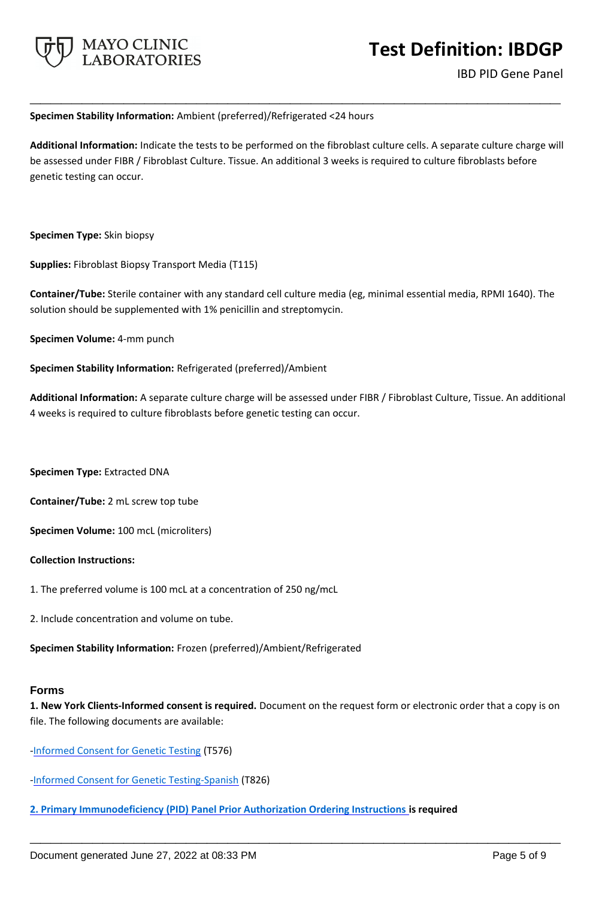

#### **Specimen Stability Information:** Ambient (preferred)/Refrigerated <24 hours

**Additional Information:** Indicate the tests to be performed on the fibroblast culture cells. A separate culture charge will be assessed under FIBR / Fibroblast Culture. Tissue. An additional 3 weeks is required to culture fibroblasts before genetic testing can occur.

**\_\_\_\_\_\_\_\_\_\_\_\_\_\_\_\_\_\_\_\_\_\_\_\_\_\_\_\_\_\_\_\_\_\_\_\_\_\_\_\_\_\_\_\_\_\_\_\_\_\_\_**

**Specimen Type:** Skin biopsy

**Supplies:** Fibroblast Biopsy Transport Media (T115)

**Container/Tube:** Sterile container with any standard cell culture media (eg, minimal essential media, RPMI 1640). The solution should be supplemented with 1% penicillin and streptomycin.

**Specimen Volume:** 4-mm punch

**Specimen Stability Information:** Refrigerated (preferred)/Ambient

**Additional Information:** A separate culture charge will be assessed under FIBR / Fibroblast Culture, Tissue. An additional 4 weeks is required to culture fibroblasts before genetic testing can occur.

**Specimen Type:** Extracted DNA

**Container/Tube:** 2 mL screw top tube

**Specimen Volume:** 100 mcL (microliters)

**Collection Instructions:**

- 1. The preferred volume is 100 mcL at a concentration of 250 ng/mcL
- 2. Include concentration and volume on tube.

**Specimen Stability Information:** Frozen (preferred)/Ambient/Refrigerated

## **Forms**

**1. New York Clients-Informed consent is required.** Document on the request form or electronic order that a copy is on file. The following documents are available:

**\_\_\_\_\_\_\_\_\_\_\_\_\_\_\_\_\_\_\_\_\_\_\_\_\_\_\_\_\_\_\_\_\_\_\_\_\_\_\_\_\_\_\_\_\_\_\_\_\_\_\_**

[-Informed Consent for Genetic Testing](https://www.mayocliniclabs.com/it-mmfiles/Informed_Consent_for_Genetic_Testing.pdf) (T576)

- [-Informed Consent for Genetic Testing-Spanish](https://www.mayocliniclabs.com/it-mmfiles/Informed_Consent_for_Genetic_Testing__Spanish_.pdf) (T826)
- **[2. Primary Immunodeficiency \(PID\) Panel Prior Authorization Ordering Instructions i](https://www.mayocliniclabs.com/it-mmfiles/IBDGP.pdf)s required**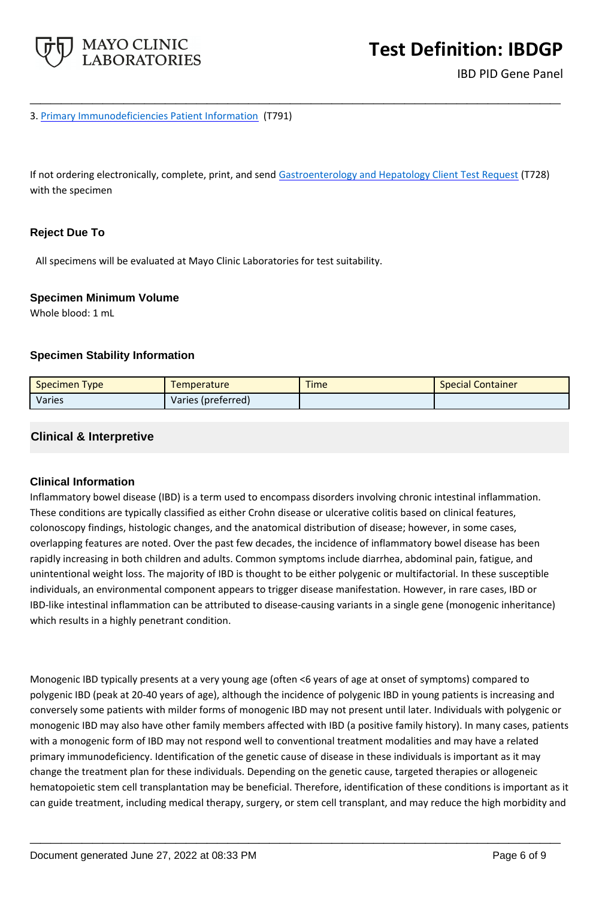

3. [Primary Immunodeficiencies Patient Information](https://www.mayocliniclabs.com/it-mmfiles/Primary_Immunodeficiencies_Patient_Information.pdf) (T791)

If not ordering electronically, complete, print, and send [Gastroenterology and Hepatology Client Test Request](https://www.mayocliniclabs.com/it-mmfiles/gastroenterology-and-hepatology-test-request.pdf) (T728) with the specimen

**\_\_\_\_\_\_\_\_\_\_\_\_\_\_\_\_\_\_\_\_\_\_\_\_\_\_\_\_\_\_\_\_\_\_\_\_\_\_\_\_\_\_\_\_\_\_\_\_\_\_\_**

## **Reject Due To**

All specimens will be evaluated at Mayo Clinic Laboratories for test suitability.

#### **Specimen Minimum Volume**

Whole blood: 1 mL

## **Specimen Stability Information**

| <b>Specimen Type</b> | Temperature        | <b>Time</b> | <b>Special Container</b> |
|----------------------|--------------------|-------------|--------------------------|
| Varies               | Varies (preferred) |             |                          |

## **Clinical & Interpretive**

## **Clinical Information**

Inflammatory bowel disease (IBD) is a term used to encompass disorders involving chronic intestinal inflammation. These conditions are typically classified as either Crohn disease or ulcerative colitis based on clinical features, colonoscopy findings, histologic changes, and the anatomical distribution of disease; however, in some cases, overlapping features are noted. Over the past few decades, the incidence of inflammatory bowel disease has been rapidly increasing in both children and adults. Common symptoms include diarrhea, abdominal pain, fatigue, and unintentional weight loss. The majority of IBD is thought to be either polygenic or multifactorial. In these susceptible individuals, an environmental component appears to trigger disease manifestation. However, in rare cases, IBD or IBD-like intestinal inflammation can be attributed to disease-causing variants in a single gene (monogenic inheritance) which results in a highly penetrant condition.

Monogenic IBD typically presents at a very young age (often <6 years of age at onset of symptoms) compared to polygenic IBD (peak at 20-40 years of age), although the incidence of polygenic IBD in young patients is increasing and conversely some patients with milder forms of monogenic IBD may not present until later. Individuals with polygenic or monogenic IBD may also have other family members affected with IBD (a positive family history). In many cases, patients with a monogenic form of IBD may not respond well to conventional treatment modalities and may have a related primary immunodeficiency. Identification of the genetic cause of disease in these individuals is important as it may change the treatment plan for these individuals. Depending on the genetic cause, targeted therapies or allogeneic hematopoietic stem cell transplantation may be beneficial. Therefore, identification of these conditions is important as it can guide treatment, including medical therapy, surgery, or stem cell transplant, and may reduce the high morbidity and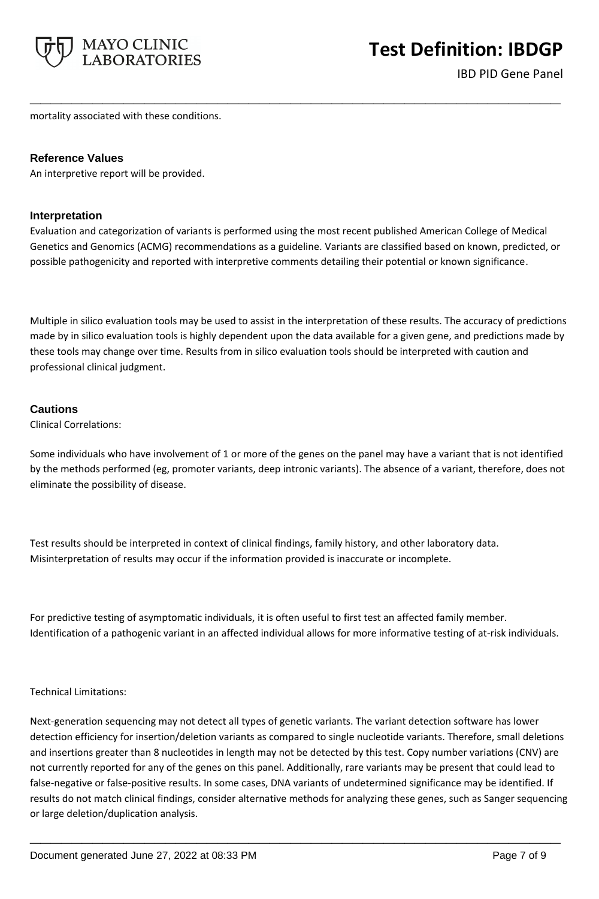

mortality associated with these conditions.

## **Reference Values**

An interpretive report will be provided.

## **Interpretation**

Evaluation and categorization of variants is performed using the most recent published American College of Medical Genetics and Genomics (ACMG) recommendations as a guideline. Variants are classified based on known, predicted, or possible pathogenicity and reported with interpretive comments detailing their potential or known significance.

**\_\_\_\_\_\_\_\_\_\_\_\_\_\_\_\_\_\_\_\_\_\_\_\_\_\_\_\_\_\_\_\_\_\_\_\_\_\_\_\_\_\_\_\_\_\_\_\_\_\_\_**

Multiple in silico evaluation tools may be used to assist in the interpretation of these results. The accuracy of predictions made by in silico evaluation tools is highly dependent upon the data available for a given gene, and predictions made by these tools may change over time. Results from in silico evaluation tools should be interpreted with caution and professional clinical judgment.

## **Cautions**

Clinical Correlations:

Some individuals who have involvement of 1 or more of the genes on the panel may have a variant that is not identified by the methods performed (eg, promoter variants, deep intronic variants). The absence of a variant, therefore, does not eliminate the possibility of disease.

Test results should be interpreted in context of clinical findings, family history, and other laboratory data. Misinterpretation of results may occur if the information provided is inaccurate or incomplete.

For predictive testing of asymptomatic individuals, it is often useful to first test an affected family member. Identification of a pathogenic variant in an affected individual allows for more informative testing of at-risk individuals.

## Technical Limitations:

Next-generation sequencing may not detect all types of genetic variants. The variant detection software has lower detection efficiency for insertion/deletion variants as compared to single nucleotide variants. Therefore, small deletions and insertions greater than 8 nucleotides in length may not be detected by this test. Copy number variations (CNV) are not currently reported for any of the genes on this panel. Additionally, rare variants may be present that could lead to false-negative or false-positive results. In some cases, DNA variants of undetermined significance may be identified. If results do not match clinical findings, consider alternative methods for analyzing these genes, such as Sanger sequencing or large deletion/duplication analysis.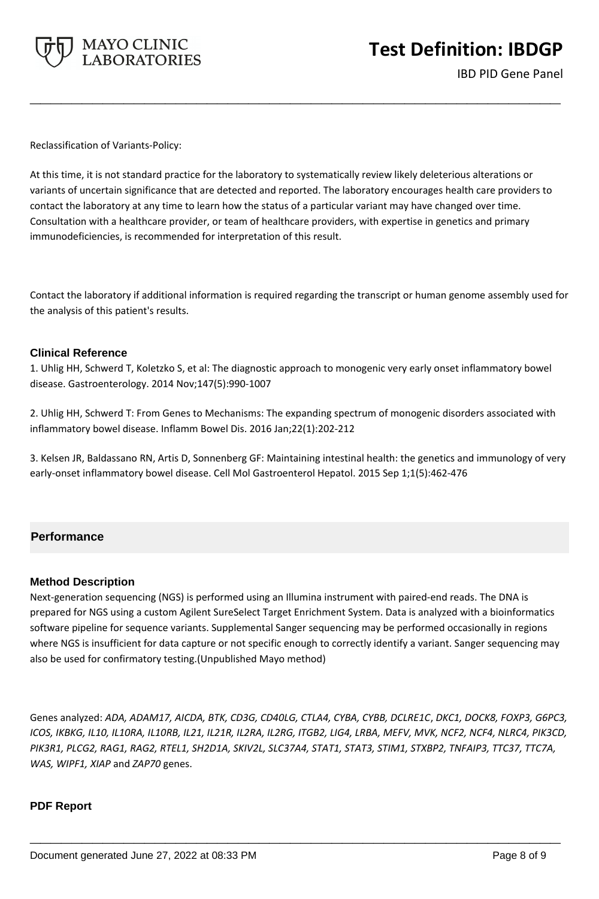

Reclassification of Variants-Policy:

At this time, it is not standard practice for the laboratory to systematically review likely deleterious alterations or variants of uncertain significance that are detected and reported. The laboratory encourages health care providers to contact the laboratory at any time to learn how the status of a particular variant may have changed over time. Consultation with a healthcare provider, or team of healthcare providers, with expertise in genetics and primary immunodeficiencies, is recommended for interpretation of this result.

**\_\_\_\_\_\_\_\_\_\_\_\_\_\_\_\_\_\_\_\_\_\_\_\_\_\_\_\_\_\_\_\_\_\_\_\_\_\_\_\_\_\_\_\_\_\_\_\_\_\_\_**

Contact the laboratory if additional information is required regarding the transcript or human genome assembly used for the analysis of this patient's results.

## **Clinical Reference**

1. Uhlig HH, Schwerd T, Koletzko S, et al: The diagnostic approach to monogenic very early onset inflammatory bowel disease. Gastroenterology. 2014 Nov;147(5):990-1007

2. Uhlig HH, Schwerd T: From Genes to Mechanisms: The expanding spectrum of monogenic disorders associated with inflammatory bowel disease. Inflamm Bowel Dis. 2016 Jan;22(1):202-212

3. Kelsen JR, Baldassano RN, Artis D, Sonnenberg GF: Maintaining intestinal health: the genetics and immunology of very early-onset inflammatory bowel disease. Cell Mol Gastroenterol Hepatol. 2015 Sep 1;1(5):462-476

## **Performance**

#### **Method Description**

Next-generation sequencing (NGS) is performed using an Illumina instrument with paired-end reads. The DNA is prepared for NGS using a custom Agilent SureSelect Target Enrichment System. Data is analyzed with a bioinformatics software pipeline for sequence variants. Supplemental Sanger sequencing may be performed occasionally in regions where NGS is insufficient for data capture or not specific enough to correctly identify a variant. Sanger sequencing may also be used for confirmatory testing.(Unpublished Mayo method)

Genes analyzed: *ADA, ADAM17, AICDA, BTK, CD3G, CD40LG, CTLA4, CYBA, CYBB, DCLRE1C*, *DKC1, DOCK8, FOXP3, G6PC3, ICOS, IKBKG, IL10, IL10RA, IL10RB, IL21, IL21R, IL2RA, IL2RG, ITGB2, LIG4, LRBA, MEFV, MVK, NCF2, NCF4, NLRC4, PIK3CD, PIK3R1, PLCG2, RAG1, RAG2, RTEL1, SH2D1A, SKIV2L, SLC37A4, STAT1, STAT3, STIM1, STXBP2, TNFAIP3, TTC37, TTC7A, WAS, WIPF1, XIAP* and *ZAP70* genes.

**\_\_\_\_\_\_\_\_\_\_\_\_\_\_\_\_\_\_\_\_\_\_\_\_\_\_\_\_\_\_\_\_\_\_\_\_\_\_\_\_\_\_\_\_\_\_\_\_\_\_\_**

## **PDF Report**